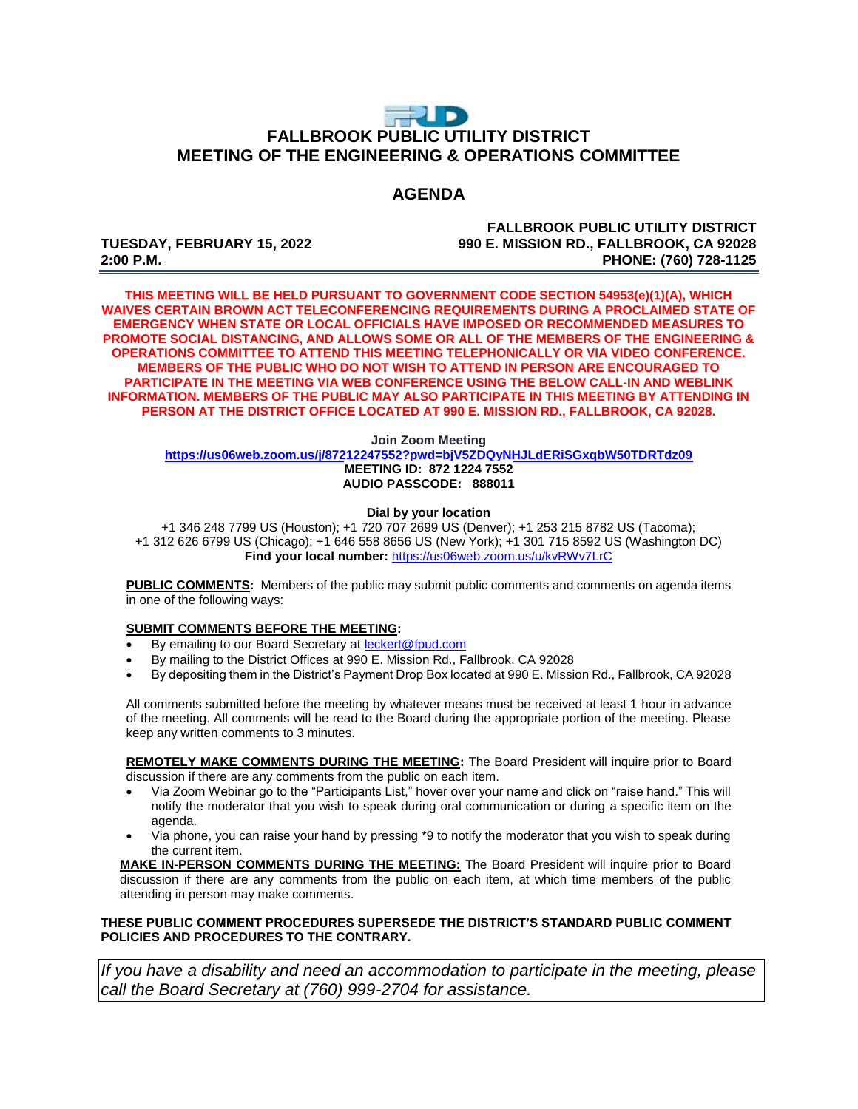# $\Rightarrow$  D **FALLBROOK PUBLIC UTILITY DISTRICT MEETING OF THE ENGINEERING & OPERATIONS COMMITTEE**

## **AGENDA**

**FALLBROOK PUBLIC UTILITY DISTRICT TUESDAY, FEBRUARY 15, 2022 990 E. MISSION RD., FALLBROOK, CA 92028 2:00 P.M. PHONE: (760) 728-1125**

**THIS MEETING WILL BE HELD PURSUANT TO GOVERNMENT CODE SECTION 54953(e)(1)(A), WHICH WAIVES CERTAIN BROWN ACT TELECONFERENCING REQUIREMENTS DURING A PROCLAIMED STATE OF EMERGENCY WHEN STATE OR LOCAL OFFICIALS HAVE IMPOSED OR RECOMMENDED MEASURES TO PROMOTE SOCIAL DISTANCING, AND ALLOWS SOME OR ALL OF THE MEMBERS OF THE ENGINEERING & OPERATIONS COMMITTEE TO ATTEND THIS MEETING TELEPHONICALLY OR VIA VIDEO CONFERENCE. MEMBERS OF THE PUBLIC WHO DO NOT WISH TO ATTEND IN PERSON ARE ENCOURAGED TO PARTICIPATE IN THE MEETING VIA WEB CONFERENCE USING THE BELOW CALL-IN AND WEBLINK INFORMATION. MEMBERS OF THE PUBLIC MAY ALSO PARTICIPATE IN THIS MEETING BY ATTENDING IN PERSON AT THE DISTRICT OFFICE LOCATED AT 990 E. MISSION RD., FALLBROOK, CA 92028.**

#### **Join Zoom Meeting**

**<https://us06web.zoom.us/j/87212247552?pwd=bjV5ZDQyNHJLdERiSGxqbW50TDRTdz09> MEETING ID: 872 1224 7552 AUDIO PASSCODE: 888011**

### **Dial by your location**

+1 346 248 7799 US (Houston); +1 720 707 2699 US (Denver); +1 253 215 8782 US (Tacoma); +1 312 626 6799 US (Chicago); +1 646 558 8656 US (New York); +1 301 715 8592 US (Washington DC) **Find your local number:** <https://us06web.zoom.us/u/kvRWv7LrC>

**PUBLIC COMMENTS:** Members of the public may submit public comments and comments on agenda items in one of the following ways:

#### **SUBMIT COMMENTS BEFORE THE MEETING:**

- By emailing to our Board Secretary at **leckert@fpud.com**
- By mailing to the District Offices at 990 E. Mission Rd., Fallbrook, CA 92028
- By depositing them in the District's Payment Drop Box located at 990 E. Mission Rd., Fallbrook, CA 92028

All comments submitted before the meeting by whatever means must be received at least 1 hour in advance of the meeting. All comments will be read to the Board during the appropriate portion of the meeting. Please keep any written comments to 3 minutes.

**REMOTELY MAKE COMMENTS DURING THE MEETING:** The Board President will inquire prior to Board discussion if there are any comments from the public on each item.

- Via Zoom Webinar go to the "Participants List," hover over your name and click on "raise hand." This will notify the moderator that you wish to speak during oral communication or during a specific item on the agenda.
- Via phone, you can raise your hand by pressing \*9 to notify the moderator that you wish to speak during the current item.

**MAKE IN-PERSON COMMENTS DURING THE MEETING:** The Board President will inquire prior to Board discussion if there are any comments from the public on each item, at which time members of the public attending in person may make comments.

### **THESE PUBLIC COMMENT PROCEDURES SUPERSEDE THE DISTRICT'S STANDARD PUBLIC COMMENT POLICIES AND PROCEDURES TO THE CONTRARY.**

*If you have a disability and need an accommodation to participate in the meeting, please call the Board Secretary at (760) 999-2704 for assistance.*